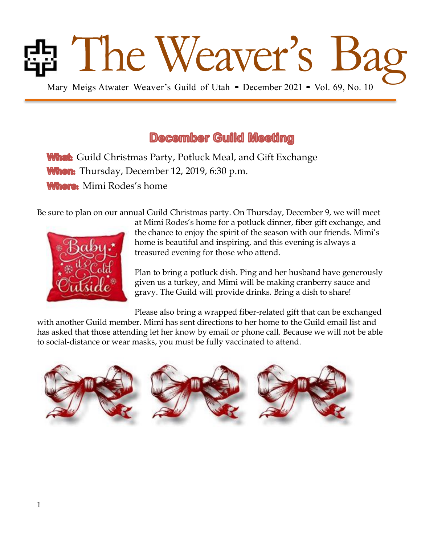# **Band Mary Meigs Atwater Weaver's Guild of Utah • December 2021 • Vol. 69, No. 10**

# **December Guild Meeting**

**What:** Guild Christmas Party, Potluck Meal, and Gift Exchange **When:** Thursday, December 12, 2019, 6:30 p.m. Where: Mimi Rodes's home

Be sure to plan on our annual Guild Christmas party. On Thursday, December 9, we will meet



at Mimi Rodes's home for a potluck dinner, fiber gift exchange, and the chance to enjoy the spirit of the season with our friends. Mimi's home is beautiful and inspiring, and this evening is always a treasured evening for those who attend.

Plan to bring a potluck dish. Ping and her husband have generously given us a turkey, and Mimi will be making cranberry sauce and gravy. The Guild will provide drinks. Bring a dish to share!

Please also bring a wrapped fiber-related gift that can be exchanged with another Guild member. Mimi has sent directions to her home to the Guild email list and has asked that those attending let her know by email or phone call. Because we will not be able to social-distance or wear masks, you must be fully vaccinated to attend.

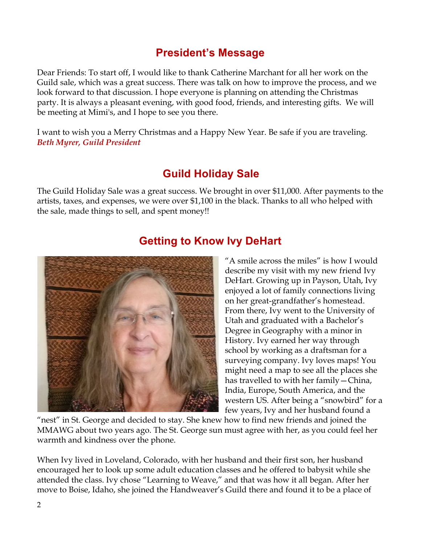### **President's Message**

Dear Friends: To start off, I would like to thank Catherine Marchant for all her work on the Guild sale, which was a great success. There was talk on how to improve the process, and we look forward to that discussion. I hope everyone is planning on attending the Christmas party. It is always a pleasant evening, with good food, friends, and interesting gifts. We will be meeting at Mimi's, and I hope to see you there.

I want to wish you a Merry Christmas and a Happy New Year. Be safe if you are traveling. *Beth Myrer, Guild President* 

# **Guild Holiday Sale**

The Guild Holiday Sale was a great success. We brought in over \$11,000. After payments to the artists, taxes, and expenses, we were over \$1,100 in the black. Thanks to all who helped with the sale, made things to sell, and spent money!!



# **Getting to Know Ivy DeHart**

"A smile across the miles" is how I would describe my visit with my new friend Ivy DeHart. Growing up in Payson, Utah, Ivy enjoyed a lot of family connections living on her great-grandfather's homestead. From there, Ivy went to the University of Utah and graduated with a Bachelor's Degree in Geography with a minor in History. Ivy earned her way through school by working as a draftsman for a surveying company. Ivy loves maps! You might need a map to see all the places she has travelled to with her family—China, India, Europe, South America, and the western US. After being a "snowbird" for a few years, Ivy and her husband found a

"nest" in St. George and decided to stay. She knew how to find new friends and joined the MMAWG about two years ago. The St. George sun must agree with her, as you could feel her warmth and kindness over the phone.

When Ivy lived in Loveland, Colorado, with her husband and their first son, her husband encouraged her to look up some adult education classes and he offered to babysit while she attended the class. Ivy chose "Learning to Weave," and that was how it all began. After her move to Boise, Idaho, she joined the Handweaver's Guild there and found it to be a place of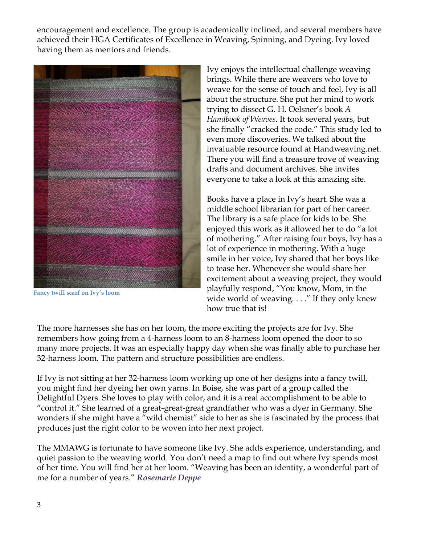encouragement and excellence. The group is academically inclined, and several members have achieved their HGA Certificates of Excellence in Weaving, Spinning, and Dyeing. Ivy loved having them as mentors and friends.



**Fancy twill scarf on Ivy's loom**

Ivy enjoys the intellectual challenge weaving brings. While there are weavers who love to weave for the sense of touch and feel, Ivy is all about the structure. She put her mind to work trying to dissect G. H. Oelsner's book *A Handbook of Weaves.* It took several years, but she finally "cracked the code." This study led to even more discoveries. We talked about the invaluable resource found at Handweaving.net. There you will find a treasure trove of weaving drafts and document archives. She invites everyone to take a look at this amazing site.

Books have a place in Ivy's heart. She was a middle school librarian for part of her career. The library is a safe place for kids to be. She enjoyed this work as it allowed her to do "a lot of mothering." After raising four boys, Ivy has a lot of experience in mothering. With a huge smile in her voice, Ivy shared that her boys like to tease her. Whenever she would share her excitement about a weaving project, they would playfully respond, "You know, Mom, in the wide world of weaving. . . ." If they only knew how true that is!

The more harnesses she has on her loom, the more exciting the projects are for Ivy. She remembers how going from a 4-harness loom to an 8-harness loom opened the door to so many more projects. It was an especially happy day when she was finally able to purchase her 32-harness loom. The pattern and structure possibilities are endless.

If Ivy is not sitting at her 32-harness loom working up one of her designs into a fancy twill, you might find her dyeing her own yarns. In Boise, she was part of a group called the Delightful Dyers. She loves to play with color, and it is a real accomplishment to be able to "control it." She learned of a great-great-great grandfather who was a dyer in Germany. She wonders if she might have a "wild chemist" side to her as she is fascinated by the process that produces just the right color to be woven into her next project.

The MMAWG is fortunate to have someone like Ivy. She adds experience, understanding, and quiet passion to the weaving world. You don't need a map to find out where Ivy spends most of her time. You will find her at her loom. "Weaving has been an identity, a wonderful part of me for a number of years." *Rosemarie Deppe*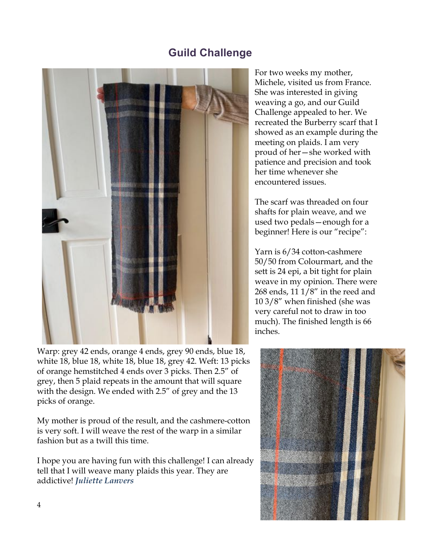### **Guild Challenge**



Warp: grey 42 ends, orange 4 ends, grey 90 ends, blue 18, white 18, blue 18, white 18, blue 18, grey 42. Weft: 13 picks of orange hemstitched 4 ends over 3 picks. Then 2.5" of grey, then 5 plaid repeats in the amount that will square with the design. We ended with 2.5" of grey and the 13 picks of orange.

My mother is proud of the result, and the cashmere-cotton is very soft. I will weave the rest of the warp in a similar fashion but as a twill this time.

I hope you are having fun with this challenge! I can already tell that I will weave many plaids this year. They are addictive! *Juliette Lanvers*

For two weeks my mother, Michele, visited us from France. She was interested in giving weaving a go, and our Guild Challenge appealed to her. We recreated the Burberry scarf that I showed as an example during the meeting on plaids. I am very proud of her—she worked with patience and precision and took her time whenever she encountered issues.

The scarf was threaded on four shafts for plain weave, and we used two pedals—enough for a beginner! Here is our "recipe":

Yarn is 6/34 cotton-cashmere 50/50 from Colourmart, and the sett is 24 epi, a bit tight for plain weave in my opinion. There were 268 ends, 11 1/8" in the reed and 10 3/8" when finished (she was very careful not to draw in too much). The finished length is 66 inches.

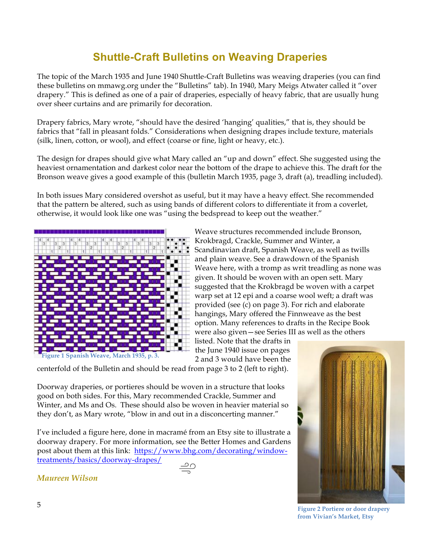# **Shuttle-Craft Bulletins on Weaving Draperies**

The topic of the March 1935 and June 1940 Shuttle-Craft Bulletins was weaving draperies (you can find these bulletins on mmawg.org under the "Bulletins" tab). In 1940, Mary Meigs Atwater called it "over drapery." This is defined as one of a pair of draperies, especially of heavy fabric, that are usually hung over sheer curtains and are primarily for decoration.

Drapery fabrics, Mary wrote, "should have the desired 'hanging' qualities," that is, they should be fabrics that "fall in pleasant folds." Considerations when designing drapes include texture, materials (silk, linen, cotton, or wool), and effect (coarse or fine, light or heavy, etc.).

The design for drapes should give what Mary called an "up and down" effect. She suggested using the heaviest ornamentation and darkest color near the bottom of the drape to achieve this. The draft for the Bronson weave gives a good example of this (bulletin March 1935, page 3, draft (a), treadling included).

In both issues Mary considered overshot as useful, but it may have a heavy effect. She recommended that the pattern be altered, such as using bands of different colors to differentiate it from a coverlet, otherwise, it would look like one was "using the bedspread to keep out the weather."



Weave structures recommended include Bronson, Krokbragd, Crackle, Summer and Winter, a Scandinavian draft, Spanish Weave, as well as twills and plain weave. See a drawdown of the Spanish Weave here, with a tromp as writ treadling as none was given. It should be woven with an open sett. Mary suggested that the Krokbragd be woven with a carpet warp set at 12 epi and a coarse wool weft; a draft was provided (see (c) on page 3). For rich and elaborate hangings, Mary offered the Finnweave as the best option. Many references to drafts in the Recipe Book were also given—see Series III as well as the others

listed. Note that the drafts in the June 1940 issue on pages 2 and 3 would have been the

centerfold of the Bulletin and should be read from page 3 to 2 (left to right).

Doorway draperies, or portieres should be woven in a structure that looks good on both sides. For this, Mary recommended Crackle, Summer and Winter, and Ms and Os. These should also be woven in heavier material so they don't, as Mary wrote, "blow in and out in a disconcerting manner."

I've included a figure here, done in macramé from an Etsy site to illustrate a doorway drapery. For more information, see the Better Homes and Gardens post about them at this link: https://www.bhg.com/decorating/windowtreatments/basics/doorway-drapes/



<sup>5</sup> **Figure 2 Portiere or door drapery from Vivian's Market, Etsy**

*Maureen Wilson*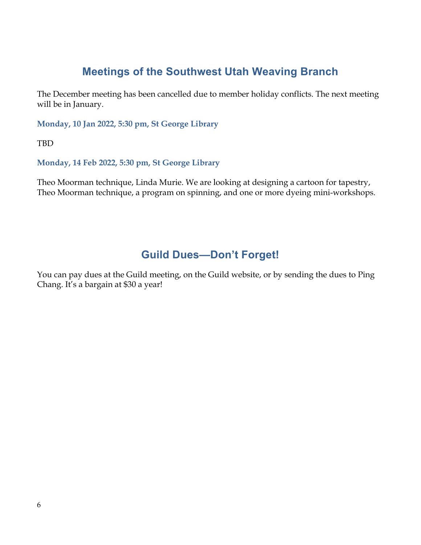### **Meetings of the Southwest Utah Weaving Branch**

The December meeting has been cancelled due to member holiday conflicts. The next meeting will be in January.

**Monday, 10 Jan 2022, 5:30 pm, St George Library**

TBD

**Monday, 14 Feb 2022, 5:30 pm, St George Library**

Theo Moorman technique, Linda Murie. We are looking at designing a cartoon for tapestry, Theo Moorman technique, a program on spinning, and one or more dyeing mini-workshops.

### **Guild Dues—Don't Forget!**

You can pay dues at the Guild meeting, on the Guild website, or by sending the dues to Ping Chang. It's a bargain at \$30 a year!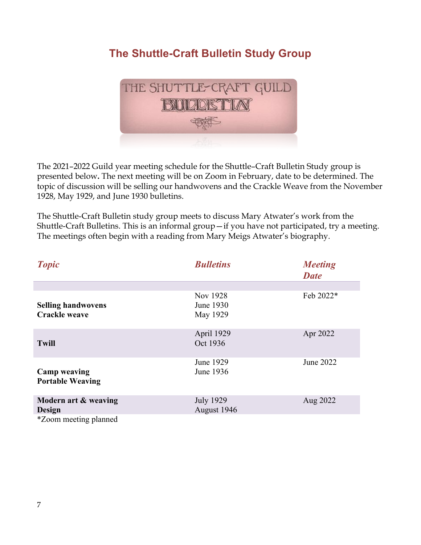# **The Shuttle-Craft Bulletin Study Group**



The 2021–2022 Guild year meeting schedule for the Shuttle–Craft Bulletin Study group is presented below**.** The next meeting will be on Zoom in February, date to be determined. The topic of discussion will be selling our handwovens and the Crackle Weave from the November 1928, May 1929, and June 1930 bulletins.

The Shuttle-Craft Bulletin study group meets to discuss Mary Atwater's work from the Shuttle-Craft Bulletins. This is an informal group—if you have not participated, try a meeting. The meetings often begin with a reading from Mary Meigs Atwater's biography.

| <b>Topic</b>                                      | <b>Bulletins</b>                  | <b>Meeting</b><br><b>Date</b> |
|---------------------------------------------------|-----------------------------------|-------------------------------|
|                                                   |                                   |                               |
| <b>Selling handwovens</b><br><b>Crackle weave</b> | Nov 1928<br>June 1930<br>May 1929 | Feb 2022*                     |
| <b>Twill</b>                                      | April 1929<br>Oct 1936            | Apr 2022                      |
| <b>Camp weaving</b><br><b>Portable Weaving</b>    | June 1929<br>June 1936            | June 2022                     |
| Modern art & weaving<br>Design                    | <b>July 1929</b><br>August 1946   | Aug 2022                      |
| *Zoom meeting planned                             |                                   |                               |